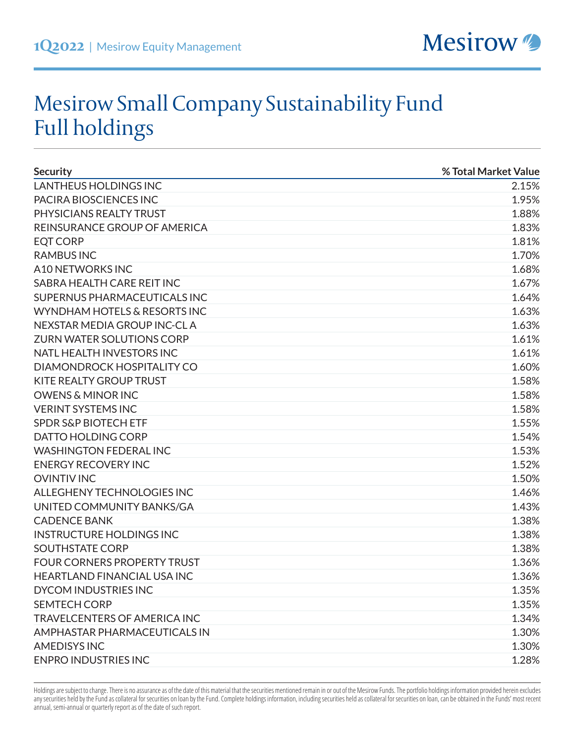

## Mesirow Small Company Sustainability Fund Full holdings

| <b>Security</b>                     | % Total Market Value |
|-------------------------------------|----------------------|
| <b>LANTHEUS HOLDINGS INC</b>        | 2.15%                |
| PACIRA BIOSCIENCES INC              | 1.95%                |
| PHYSICIANS REALTY TRUST             | 1.88%                |
| REINSURANCE GROUP OF AMERICA        | 1.83%                |
| <b>EQT CORP</b>                     | 1.81%                |
| <b>RAMBUS INC</b>                   | 1.70%                |
| A10 NETWORKS INC                    | 1.68%                |
| SABRA HEALTH CARE REIT INC          | 1.67%                |
| SUPERNUS PHARMACEUTICALS INC        | 1.64%                |
| WYNDHAM HOTELS & RESORTS INC        | 1.63%                |
| NEXSTAR MEDIA GROUP INC-CLA         | 1.63%                |
| ZURN WATER SOLUTIONS CORP           | 1.61%                |
| NATL HEALTH INVESTORS INC           | 1.61%                |
| DIAMONDROCK HOSPITALITY CO          | 1.60%                |
| <b>KITE REALTY GROUP TRUST</b>      | 1.58%                |
| <b>OWENS &amp; MINOR INC</b>        | 1.58%                |
| <b>VERINT SYSTEMS INC</b>           | 1.58%                |
| <b>SPDR S&amp;P BIOTECH ETF</b>     | 1.55%                |
| <b>DATTO HOLDING CORP</b>           | 1.54%                |
| <b>WASHINGTON FEDERAL INC</b>       | 1.53%                |
| <b>ENERGY RECOVERY INC</b>          | 1.52%                |
| <b>OVINTIVINC</b>                   | 1.50%                |
| ALLEGHENY TECHNOLOGIES INC          | 1.46%                |
| UNITED COMMUNITY BANKS/GA           | 1.43%                |
| <b>CADENCE BANK</b>                 | 1.38%                |
| <b>INSTRUCTURE HOLDINGS INC</b>     | 1.38%                |
| <b>SOUTHSTATE CORP</b>              | 1.38%                |
| <b>FOUR CORNERS PROPERTY TRUST</b>  | 1.36%                |
| <b>HEARTLAND FINANCIAL USA INC</b>  | 1.36%                |
| DYCOM INDUSTRIES INC                | 1.35%                |
| <b>SEMTECH CORP</b>                 | 1.35%                |
| <b>TRAVELCENTERS OF AMERICA INC</b> | 1.34%                |
| AMPHASTAR PHARMACEUTICALS IN        | 1.30%                |
| <b>AMEDISYS INC</b>                 | 1.30%                |
| <b>ENPRO INDUSTRIES INC</b>         | 1.28%                |

Holdings are subject to change. There is no assurance as of the date of this material that the securities mentioned remain in or out of the Mesirow Funds. The portfolio holdings information provided herein excludes any securities held by the Fund as collateral for securities on loan by the Fund. Complete holdings information, including securities held as collateral for securities on loan, can be obtained in the Funds' most recent annual, semi-annual or quarterly report as of the date of such report.